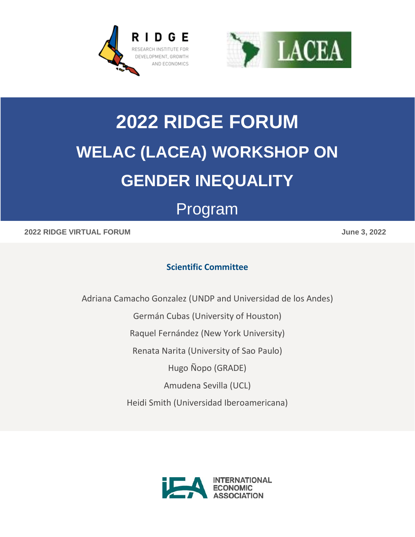



# **2022 RIDGE FORUM WELAC (LACEA) WORKSHOP ON GENDER INEQUALITY**

# Program

### **2022 RIDGE VIRTUAL FORUM June 3, 2022**

# **Scientific Committee**

Adriana Camacho Gonzalez (UNDP and Universidad de los Andes)

Germán Cubas (University of Houston)

Raquel Fernández (New York University)

Renata Narita (University of Sao Paulo)

Hugo Ñopo (GRADE)

Amudena Sevilla (UCL)

Heidi Smith (Universidad Iberoamericana)

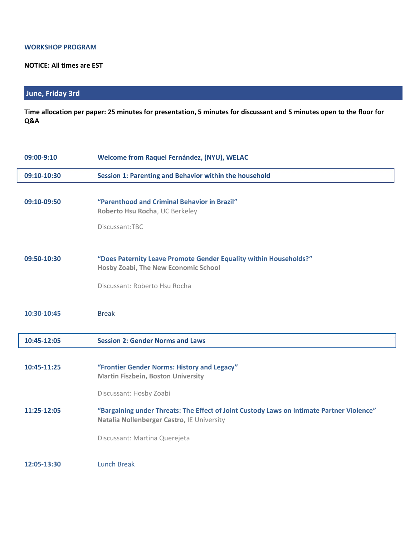#### **WORKSHOP PROGRAM**

#### **NOTICE: All times are EST**

## **June, Friday 3rd**

**Time allocation per paper: 25 minutes for presentation, 5 minutes for discussant and 5 minutes open to the floor for Q&A** 

| 09:00-9:10  | Welcome from Raquel Fernández, (NYU), WELAC                                                                                             |
|-------------|-----------------------------------------------------------------------------------------------------------------------------------------|
| 09:10-10:30 | Session 1: Parenting and Behavior within the household                                                                                  |
|             |                                                                                                                                         |
| 09:10-09:50 | "Parenthood and Criminal Behavior in Brazil"<br>Roberto Hsu Rocha, UC Berkeley                                                          |
|             | Discussant:TBC                                                                                                                          |
| 09:50-10:30 | "Does Paternity Leave Promote Gender Equality within Households?"<br>Hosby Zoabi, The New Economic School                               |
|             | Discussant: Roberto Hsu Rocha                                                                                                           |
| 10:30-10:45 | <b>Break</b>                                                                                                                            |
| 10:45-12:05 | <b>Session 2: Gender Norms and Laws</b>                                                                                                 |
| 10:45-11:25 | "Frontier Gender Norms: History and Legacy"<br><b>Martin Fiszbein, Boston University</b>                                                |
|             | Discussant: Hosby Zoabi                                                                                                                 |
| 11:25-12:05 | "Bargaining under Threats: The Effect of Joint Custody Laws on Intimate Partner Violence"<br>Natalia Nollenberger Castro, IE University |
|             | Discussant: Martina Querejeta                                                                                                           |
| 12:05-13:30 | <b>Lunch Break</b>                                                                                                                      |